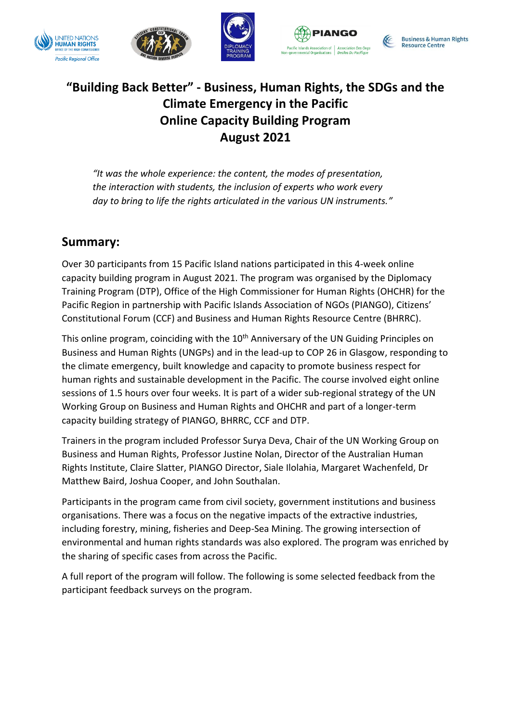







**Business & Human Rights Resource Centre** 

# **"Building Back Better" - Business, Human Rights, the SDGs and the Climate Emergency in the Pacific Online Capacity Building Program August 2021**

*"It was the whole experience: the content, the modes of presentation, the interaction with students, the inclusion of experts who work every day to bring to life the rights articulated in the various UN instruments."*

# **Summary:**

Over 30 participants from 15 Pacific Island nations participated in this 4-week online capacity building program in August 2021. The program was organised by the Diplomacy Training Program (DTP), Office of the High Commissioner for Human Rights (OHCHR) for the Pacific Region in partnership with Pacific Islands Association of NGOs (PIANGO), Citizens' Constitutional Forum (CCF) and Business and Human Rights Resource Centre (BHRRC).

This online program, coinciding with the 10<sup>th</sup> Anniversary of the UN Guiding Principles on Business and Human Rights (UNGPs) and in the lead-up to COP 26 in Glasgow, responding to the climate emergency, built knowledge and capacity to promote business respect for human rights and sustainable development in the Pacific. The course involved eight online sessions of 1.5 hours over four weeks. It is part of a wider sub-regional strategy of the UN Working Group on Business and Human Rights and OHCHR and part of a longer-term capacity building strategy of PIANGO, BHRRC, CCF and DTP.

Trainers in the program included Professor Surya Deva, Chair of the UN Working Group on Business and Human Rights, Professor Justine Nolan, Director of the Australian Human Rights Institute, Claire Slatter, PIANGO Director, Siale Ilolahia, Margaret Wachenfeld, Dr Matthew Baird, Joshua Cooper, and John Southalan.

Participants in the program came from civil society, government institutions and business organisations. There was a focus on the negative impacts of the extractive industries, including forestry, mining, fisheries and Deep-Sea Mining. The growing intersection of environmental and human rights standards was also explored. The program was enriched by the sharing of specific cases from across the Pacific.

A full report of the program will follow. The following is some selected feedback from the participant feedback surveys on the program.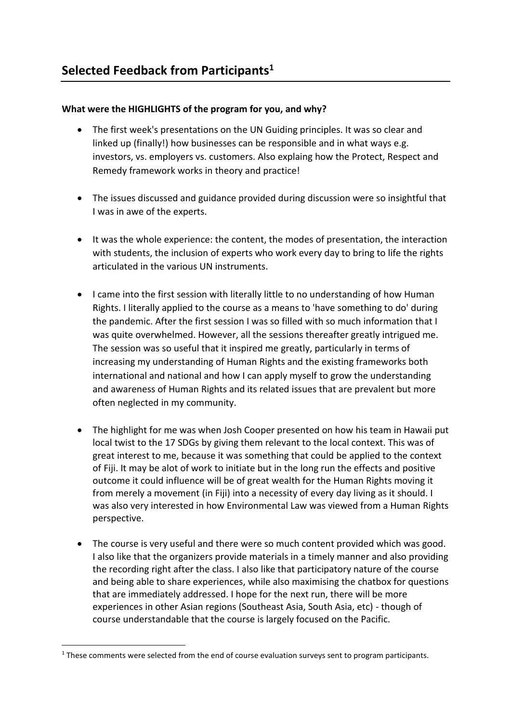## **What were the HIGHLIGHTS of the program for you, and why?**

- The first week's presentations on the UN Guiding principles. It was so clear and linked up (finally!) how businesses can be responsible and in what ways e.g. investors, vs. employers vs. customers. Also explaing how the Protect, Respect and Remedy framework works in theory and practice!
- The issues discussed and guidance provided during discussion were so insightful that I was in awe of the experts.
- It was the whole experience: the content, the modes of presentation, the interaction with students, the inclusion of experts who work every day to bring to life the rights articulated in the various UN instruments.
- I came into the first session with literally little to no understanding of how Human Rights. I literally applied to the course as a means to 'have something to do' during the pandemic. After the first session I was so filled with so much information that I was quite overwhelmed. However, all the sessions thereafter greatly intrigued me. The session was so useful that it inspired me greatly, particularly in terms of increasing my understanding of Human Rights and the existing frameworks both international and national and how I can apply myself to grow the understanding and awareness of Human Rights and its related issues that are prevalent but more often neglected in my community.
- The highlight for me was when Josh Cooper presented on how his team in Hawaii put local twist to the 17 SDGs by giving them relevant to the local context. This was of great interest to me, because it was something that could be applied to the context of Fiji. It may be alot of work to initiate but in the long run the effects and positive outcome it could influence will be of great wealth for the Human Rights moving it from merely a movement (in Fiji) into a necessity of every day living as it should. I was also very interested in how Environmental Law was viewed from a Human Rights perspective.
- The course is very useful and there were so much content provided which was good. I also like that the organizers provide materials in a timely manner and also providing the recording right after the class. I also like that participatory nature of the course and being able to share experiences, while also maximising the chatbox for questions that are immediately addressed. I hope for the next run, there will be more experiences in other Asian regions (Southeast Asia, South Asia, etc) - though of course understandable that the course is largely focused on the Pacific.

<sup>&</sup>lt;sup>1</sup> These comments were selected from the end of course evaluation surveys sent to program participants.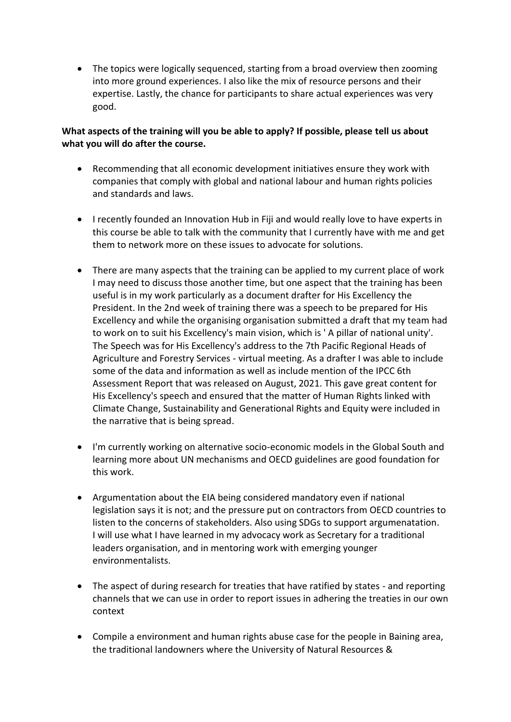• The topics were logically sequenced, starting from a broad overview then zooming into more ground experiences. I also like the mix of resource persons and their expertise. Lastly, the chance for participants to share actual experiences was very good.

#### **What aspects of the training will you be able to apply? If possible, please tell us about what you will do after the course.**

- Recommending that all economic development initiatives ensure they work with companies that comply with global and national labour and human rights policies and standards and laws.
- I recently founded an Innovation Hub in Fiji and would really love to have experts in this course be able to talk with the community that I currently have with me and get them to network more on these issues to advocate for solutions.
- There are many aspects that the training can be applied to my current place of work I may need to discuss those another time, but one aspect that the training has been useful is in my work particularly as a document drafter for His Excellency the President. In the 2nd week of training there was a speech to be prepared for His Excellency and while the organising organisation submitted a draft that my team had to work on to suit his Excellency's main vision, which is ' A pillar of national unity'. The Speech was for His Excellency's address to the 7th Pacific Regional Heads of Agriculture and Forestry Services - virtual meeting. As a drafter I was able to include some of the data and information as well as include mention of the IPCC 6th Assessment Report that was released on August, 2021. This gave great content for His Excellency's speech and ensured that the matter of Human Rights linked with Climate Change, Sustainability and Generational Rights and Equity were included in the narrative that is being spread.
- I'm currently working on alternative socio-economic models in the Global South and learning more about UN mechanisms and OECD guidelines are good foundation for this work.
- Argumentation about the EIA being considered mandatory even if national legislation says it is not; and the pressure put on contractors from OECD countries to listen to the concerns of stakeholders. Also using SDGs to support argumenatation. I will use what I have learned in my advocacy work as Secretary for a traditional leaders organisation, and in mentoring work with emerging younger environmentalists.
- The aspect of during research for treaties that have ratified by states and reporting channels that we can use in order to report issues in adhering the treaties in our own context
- Compile a environment and human rights abuse case for the people in Baining area, the traditional landowners where the University of Natural Resources &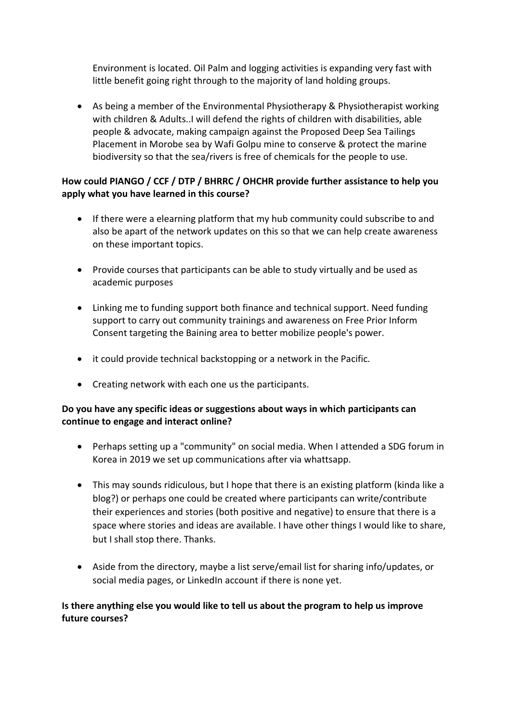Environment is located. Oil Palm and logging activities is expanding very fast with little benefit going right through to the majority of land holding groups.

• As being a member of the Environmental Physiotherapy & Physiotherapist working with children & Adults..I will defend the rights of children with disabilities, able people & advocate, making campaign against the Proposed Deep Sea Tailings Placement in Morobe sea by Wafi Golpu mine to conserve & protect the marine biodiversity so that the sea/rivers is free of chemicals for the people to use.

# **How could PIANGO / CCF / DTP / BHRRC / OHCHR provide further assistance to help you apply what you have learned in this course?**

- If there were a elearning platform that my hub community could subscribe to and also be apart of the network updates on this so that we can help create awareness on these important topics.
- Provide courses that participants can be able to study virtually and be used as academic purposes
- Linking me to funding support both finance and technical support. Need funding support to carry out community trainings and awareness on Free Prior Inform Consent targeting the Baining area to better mobilize people's power.
- it could provide technical backstopping or a network in the Pacific.
- Creating network with each one us the participants.

## **Do you have any specific ideas or suggestions about ways in which participants can continue to engage and interact online?**

- Perhaps setting up a "community" on social media. When I attended a SDG forum in Korea in 2019 we set up communications after via whattsapp.
- This may sounds ridiculous, but I hope that there is an existing platform (kinda like a blog?) or perhaps one could be created where participants can write/contribute their experiences and stories (both positive and negative) to ensure that there is a space where stories and ideas are available. I have other things I would like to share, but I shall stop there. Thanks.
- Aside from the directory, maybe a list serve/email list for sharing info/updates, or social media pages, or LinkedIn account if there is none yet.

#### **Is there anything else you would like to tell us about the program to help us improve future courses?**